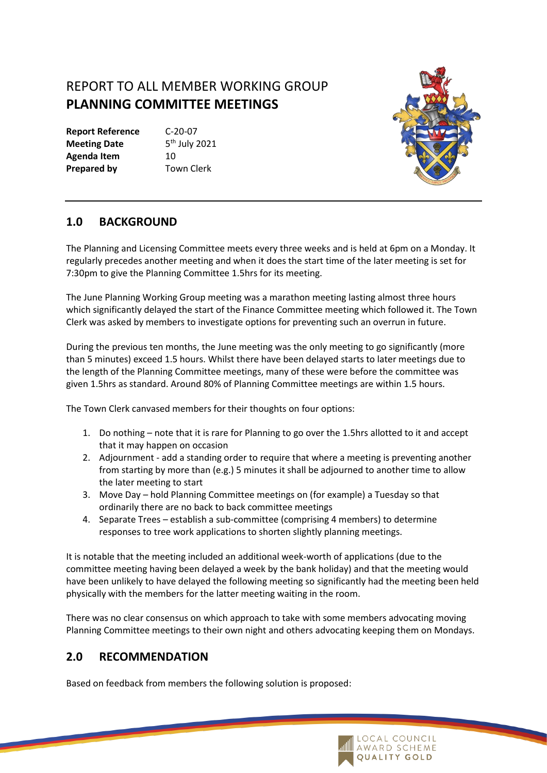## REPORT TO ALL MEMBER WORKING GROUP **PLANNING COMMITTEE MEETINGS**

**Report Reference** C-20-07 **Meeting Date** Agenda Item 10 **Prepared by Town Clerk** 

 $5<sup>th</sup>$  July 2021



## **1.0 BACKGROUND**

The Planning and Licensing Committee meets every three weeks and is held at 6pm on a Monday. It regularly precedes another meeting and when it does the start time of the later meeting is set for 7:30pm to give the Planning Committee 1.5hrs for its meeting.

The June Planning Working Group meeting was a marathon meeting lasting almost three hours which significantly delayed the start of the Finance Committee meeting which followed it. The Town Clerk was asked by members to investigate options for preventing such an overrun in future.

During the previous ten months, the June meeting was the only meeting to go significantly (more than 5 minutes) exceed 1.5 hours. Whilst there have been delayed starts to later meetings due to the length of the Planning Committee meetings, many of these were before the committee was given 1.5hrs as standard. Around 80% of Planning Committee meetings are within 1.5 hours.

The Town Clerk canvased members for their thoughts on four options:

- 1. Do nothing note that it is rare for Planning to go over the 1.5hrs allotted to it and accept that it may happen on occasion
- 2. Adjournment add a standing order to require that where a meeting is preventing another from starting by more than (e.g.) 5 minutes it shall be adjourned to another time to allow the later meeting to start
- 3. Move Day hold Planning Committee meetings on (for example) a Tuesday so that ordinarily there are no back to back committee meetings
- 4. Separate Trees establish a sub-committee (comprising 4 members) to determine responses to tree work applications to shorten slightly planning meetings.

It is notable that the meeting included an additional week-worth of applications (due to the committee meeting having been delayed a week by the bank holiday) and that the meeting would have been unlikely to have delayed the following meeting so significantly had the meeting been held physically with the members for the latter meeting waiting in the room.

There was no clear consensus on which approach to take with some members advocating moving Planning Committee meetings to their own night and others advocating keeping them on Mondays.

## **2.0 RECOMMENDATION**

Based on feedback from members the following solution is proposed: